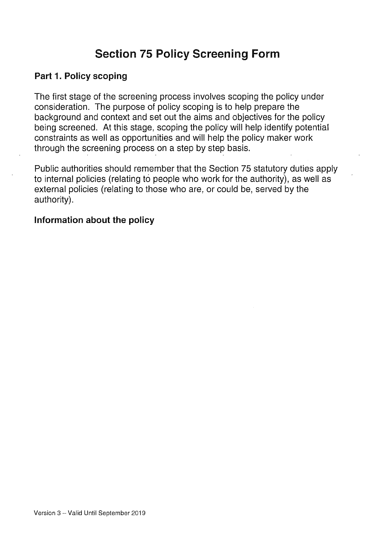# Section 75 Policy Screening Form

### Part 1. Policy scoping

The first stage of the screening process involves scoping the policy under consideration. The purpose of policy scoping is to help prepare the background and context and set out the aims and objectives for the policy being screened. At this stage, scoping the policy will help identify potential constraints as well as opportunities and will help the policy maker work through the screening process on a step by step basis.

Public authorities should remember that the Section 75 statutory duties apply to internal policies (relating to people who work for the authority), as well as external policies (relating to those who are, or could be, served by the authority).

#### Information about the policy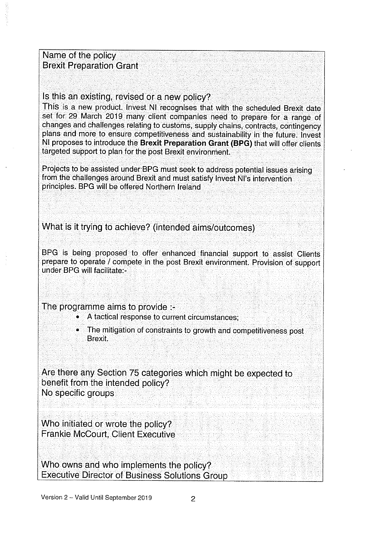Name of the policy Brexit Preparation Grant

#### Is this an existing, revised or <sup>a</sup> new policy?

This is <sup>a</sup> new product. Invest NI recognises that with the scheduled Brexit date set for 29 March 2019 many client companies need to prepare for a range of changes and challenges relating to customs, supply chains, contracts, contingency <sup>p</sup>lans and more to ensure competitiveness and sustainability in the future. Invest NI proposes to introduce the Brexit Preparation Grant (BPG) that will offer clients targeted support to plan for the post Brexit environment.

Projects to be assisted under BPG must seek to address potential issues arising from the challenges around Brexit and must satisfy Invest NI's intervention principles. BPG will be offered Northern Ireland

What is it trying to achieve? (intended aims/outcomes)

BPG is being proposed to offer enhanced financial support to assist Clients prepare to operate / compete in the post Brexit environment. Provision of support under BPG will facilitate:

The programme aims to provide :-

- $\bullet$  : A tactical response to current circumstances;
- • The mitigation of constraints to growth and competitiveness post Brexit.

Are there any Section 75 categories which might be expected to benefit from the intended policy? No specific groups

Who initiated or wrote the policy? Frankie McCourt, Client Executive

Who owns and who implements the policy? Executive Director of Business Solutions Group -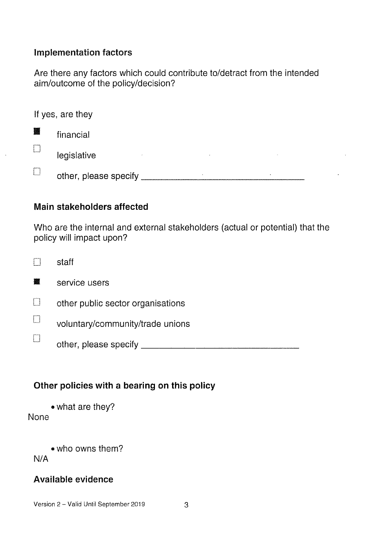### Implementation factors

Are there any factors which could contribute to/detract from the intended aim/outcome of the policy/decision?

| If yes, are they |                                    |  |  |
|------------------|------------------------------------|--|--|
| 闔                | financial                          |  |  |
| L                | legislative<br>$\sim$              |  |  |
| Ť.               | other, please specify<br>$\bullet$ |  |  |

### Main stakeholders affected

Who are the internal and external stakeholders (actual or potential) that the policy will impact upon?

|   | staff                             |
|---|-----------------------------------|
|   | service users                     |
| i | other public sector organisations |
|   | voluntary/community/trade unions  |
|   | other, please specify             |
|   |                                   |

### Other policies with a bearing on this policy

<sup>o</sup> what are they? None

. who owns them? N/A

### Available evidence

Version 2 - Valid Until September 2019 3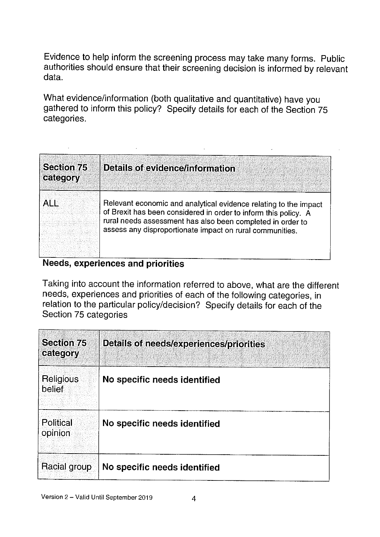Evidence to help inform the screening process may take many forms. Public authorities should ensure that their screening decision is informed by relevant data.

 $\sim$   $\star$ 

What evidence/information (both qualitative and quantitative) have you gathered to inform this policy? Specify details for each of the Section <sup>75</sup> categories.

| ALL | Relevant economic and analytical evidence relating to the impact<br>of Brexit has been considered in order to inform this policy. A<br>rural needs assessment has also been completed in order to<br>assess any disproportionate impact on rural communities. |
|-----|---------------------------------------------------------------------------------------------------------------------------------------------------------------------------------------------------------------------------------------------------------------|

#### Needs, experiences and priorities

 $\mathcal{L}^{\text{max}}_{\text{max}}$ 

 $\mathcal{L}^{\text{max}}_{\text{max}}$ 

Taking into account the information referred to above, what are the different needs, experiences and priorities of each of the following categories, in relation to the particular policy/decision? Specify details for each of the Section 75 categories

| <b>Section 75</b><br>category | Details of needs/experiences/priorities |
|-------------------------------|-----------------------------------------|
| <b>Religious</b><br>belief    | No specific needs identified            |
| <b>Political</b><br>opinion   | No specific needs identified            |
| Racial group                  | No specific needs identified            |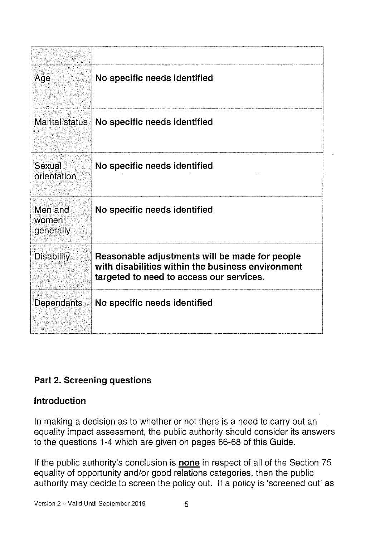| Age                           | No specific needs identified                                                                                                                    |
|-------------------------------|-------------------------------------------------------------------------------------------------------------------------------------------------|
|                               | Marital status   No specific needs identified                                                                                                   |
| Sexual<br>orientation         | No specific needs identified                                                                                                                    |
| Men and<br>women<br>generally | No specific needs identified                                                                                                                    |
| <b>Disability</b>             | Reasonable adjustments will be made for people<br>with disabilities within the business environment<br>targeted to need to access our services. |
| Dependants                    | No specific needs identified                                                                                                                    |

### Part 2. Screening questions

### Introduction

In making a decision as to whether or not there is a need to carry out an equality impact assessment, the public authority should consider its answers to the questions 1-4 which are given on pages 66-68 of this Guide.

If the public authority's conclusion is **none** in respect of all of the Section 75 equality of opportunity and/or good relations categories, then the public authority may decide to screen the policy out. If a policy is 'screened out' as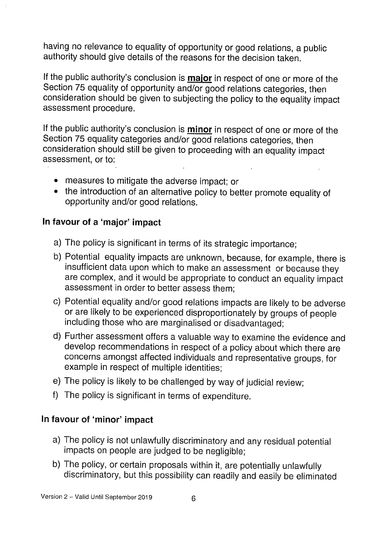having no relevance to equality of opportunity or good relations, <sup>a</sup> public authority should give details of the reasons for the decision taken.

If the public authority's conclusion is **major** in respect of one or more of the Section <sup>75</sup> equality of opportunity and/or good relations categories, then consideration should be <sup>g</sup>iven to subjecting the policy to the equality impact assessment procedure.

If the public authority's conclusion is **minor** in respect of one or more of the Section <sup>75</sup> equality categories and/or good relations categories, then consideration should still be <sup>g</sup>iven to proceeding with an equality impact assessment, or to:

- •measures to mitigate the adverse impact: or
- the introduction of an alternative policy to better promote equality of opportunity and/or good relations.

### In favour of <sup>a</sup> 'major' impact

- a) The policy is significant in terms of its strategic importance;
- b) Potential equality impacts are unknown, because, for example, there is insufficient data upon which to make an assessment or because they are complex, and it would be appropriate to conduct an equality impact assessment in order to better assess them:
- c) Potential equality and/or good relations impacts are likely to be adverse or are likely to be experienced disproportionately by groups of people including those who are marginalised or disadvantaged;
- d) Further assessment offers <sup>a</sup> valuable way to examine the evidence and develop recommendations in respect of <sup>a</sup> policy about which there are concerns amongst affected individuals and representative groups, for example in respect of multiple identities;
- e) The policy is likely to be challenged by way of judicial review;
- f) The policy is significant in terms of expenditure.

### In favour of 'minor' impact

- a) The policy is not unlawfully discriminatory and any residual potential impacts on people are judged to be negligible;
- b) The policy, or certain proposals within it, are potentially unlawfully discriminatory, but this possibility can readily and easily be eliminated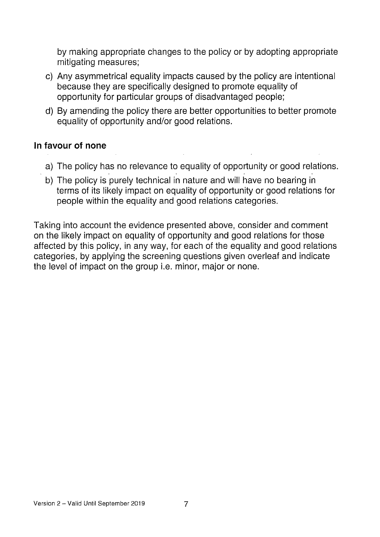by making appropriate changes to the policy or by adopting appropriate mitigating measures;

- c) Any asymmetrical equality impacts caused by the policy are intentional because they are specifically designed to promote equality of opportunity for particular groups of disadvantaged people;
- d) By amending the policy there are better opportunities to better promote equality of opportunity and/or good relations.

### In favour of none

- a) The policy has no relevance to equality of opportunity or good relations.
- b) The policy is purely technical in nature and will have no bearing in terms of its likely impact on equality of opportunity or good relations for people within the equality and good relations categories.

Taking into account the evidence presented above, consider and comment on the likely impact on equality of opportunity and good relations for those affected by this policy, in any way, for each of the equality and good relations categories, by applying the screening questions given overleaf and indicate the level of impact on the group i.e. minor, major or none.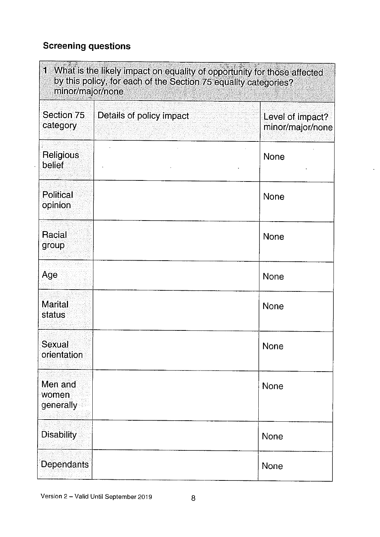## Screening questions

 $\mathcal{A}$ 

| 1,<br>What is the likely impact on equality of opportunity for those affected<br>by this policy, for each of the Section 75 equality categories?<br>minor/major/none |                          |                                      |
|----------------------------------------------------------------------------------------------------------------------------------------------------------------------|--------------------------|--------------------------------------|
| Section 75<br>category                                                                                                                                               | Details of policy impact | Level of impact?<br>minor/major/none |
| <b>Religious</b><br><b>belief</b>                                                                                                                                    |                          | <b>None</b>                          |
| Political<br>opinion                                                                                                                                                 |                          | <b>None</b>                          |
| <b>Racial</b><br>group                                                                                                                                               |                          | <b>None</b>                          |
| Age                                                                                                                                                                  |                          | None                                 |
| <b>Marital</b><br>status                                                                                                                                             |                          | <b>None</b>                          |
| Sexual<br>orientation                                                                                                                                                |                          | None                                 |
| Men and<br>women<br>generally                                                                                                                                        |                          | None                                 |
| <b>Disability</b>                                                                                                                                                    |                          | None                                 |
| <b>Dependants</b>                                                                                                                                                    |                          | None                                 |

 $\blacksquare$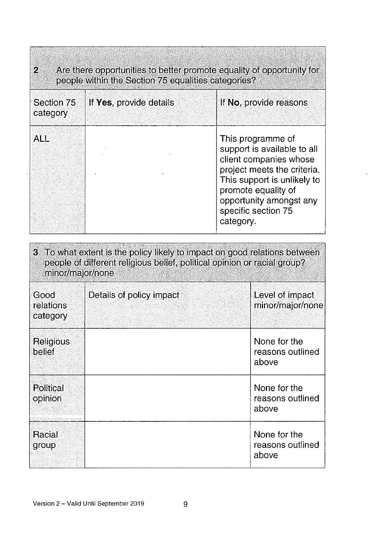| $\mathcal{P}_\mathcal{C}$<br>Are there opportunities to better promote equality of opportunity for<br>people within the Section 75 equalities categories? |                         |                                                                                                                                                                                                                                |  |
|-----------------------------------------------------------------------------------------------------------------------------------------------------------|-------------------------|--------------------------------------------------------------------------------------------------------------------------------------------------------------------------------------------------------------------------------|--|
| Section 75<br>category                                                                                                                                    | If Yes, provide details | If No, provide reasons                                                                                                                                                                                                         |  |
| <b>ALL</b>                                                                                                                                                |                         | This programme of<br>support is available to all<br>client companies whose<br>project meets the criteria.<br>This support is unlikely to<br>promote equality of<br>opportunity amongst any<br>specific section 75<br>category. |  |

es :

| 3 To what extent is the policy likely to impact on good relations between<br>people of different religious belief, political opinion or racial group?<br>minor/major/none |                          |                                           |
|---------------------------------------------------------------------------------------------------------------------------------------------------------------------------|--------------------------|-------------------------------------------|
| Good<br>relations<br>category                                                                                                                                             | Details of policy impact | Level of impact<br>minor/major/none       |
| Religious<br>belief                                                                                                                                                       |                          | None for the<br>reasons outlined<br>above |
| <b>Political</b><br>opinion                                                                                                                                               |                          | None for the<br>reasons outlined<br>above |
| Racial<br>group                                                                                                                                                           |                          | None for the<br>reasons outlined<br>above |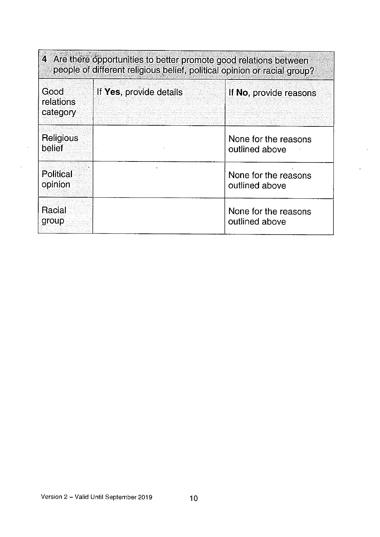| 4 Are there opportunities to better promote good relations between<br>people of different religious belief, political opinion or racial group? |                         |                                        |  |
|------------------------------------------------------------------------------------------------------------------------------------------------|-------------------------|----------------------------------------|--|
| Good<br>relations<br>category                                                                                                                  | If Yes, provide details | If No, provide reasons                 |  |
| Religious<br>belief                                                                                                                            |                         | None for the reasons<br>outlined above |  |
| Political<br>opinion                                                                                                                           |                         | None for the reasons<br>outlined above |  |
| Racial<br>group                                                                                                                                |                         | None for the reasons<br>outlined above |  |

 $\ddot{\phantom{a}}$ 

 $\sim$ 

 $\sim$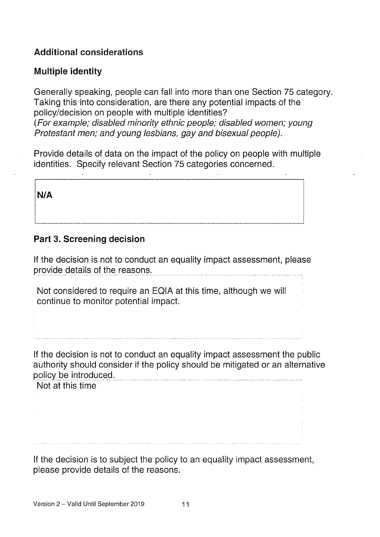### Additional considerations

### Multiple identity

Generally speaking, people can fall into more than one Section 75 category. Taking this into consideration, are there any potential impacts of the policy/decision on people with multiple identities? (For example; disabled minority ethnic people; disabled women; young Protestant men; and young lesbians, gay and bisexual people).

Provide details of data on the impact of the policy on people with multiple identities. Specify relevant Section 75 categories concerned.

N/A

#### Part 3. Screening decision

If the decision is not to conduct an equality impact assessment, please provide details of the reasons.

Not considered to require an EQIA at this time, although we will continue to monitor potential impact.

If the decision is not to conduct an equality impact assessment the public authority should consider if the policy should be mitigated or an alternative policy be introduced.

Not at this time

If the decision is to subject the policy to an equality impact assessment, please provide details of the reasons.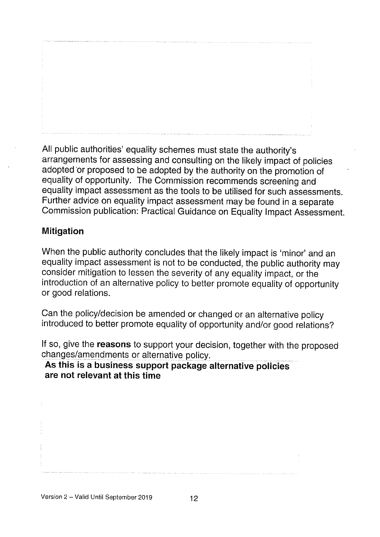All public authorities' equality schemes must state the authority's arrangements for assessing and consulting on the likely impact of policies adopted or proposed to be adopted by the authority on the promotion of equality of opportunity. The Commission recommends screening and equality impact assessment as the tools to be utilised for such assessments. Further advice on equality impact assessment may be found in <sup>a</sup> separate Commission publication: Practical Guidance on Equality Impact Assessment.

### Mitigation

When the public authority concludes that the likely impact is 'minor' and an equality impact assessment is not to be conducted, the public authority may consider mitigation to lessen the severity of any equality impact, or the introduction of an alternative policy to better promote equality of opportunity or good relations.

Can the policy/decision be amended or changed or an alternative policy introduced to better promote equality of opportunity and/or good relations?

If so, give the reasons to support your decision, together with the proposed changes/amendments or alternative policy.

### As this is <sup>a</sup> business support package alternative policies are not relevant at this time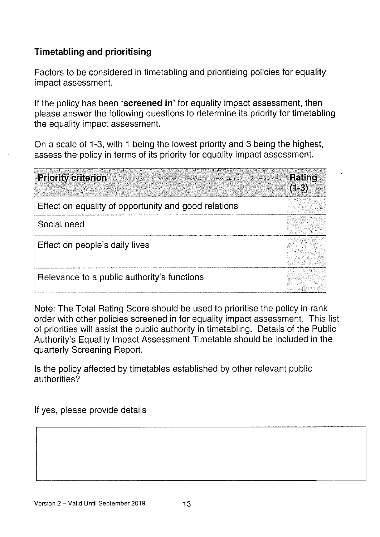### Timetabling and prioritising

Factors to be considered in timetabling and prioritising policies for equality impact assessment.

If the policy has been 'screened in' for equality impact assessment, then please answer the following questions to determine its priority for timetabling the equality impact assessment.

On a scale of 1-3, with <sup>1</sup> being the lowest priority and 3 being the highest, assess the policy in terms of its priority for equality impact assessment.

| цò,<br><b>Priority criterion</b>                     | Rating<br>$(1-3)$ |
|------------------------------------------------------|-------------------|
| Effect on equality of opportunity and good relations |                   |
| Social need                                          |                   |
| Effect on people's daily lives                       |                   |
| Relevance to a public authority's functions          |                   |

Note: The Total Rating Score should be used to prioritise the policy in rank order with other policies screened in for equality impact assessment. This list of priorities will assist the public authority in timetabling. Details of the Public Authority's Equality Impact Assessment Timetable should be included in the quarterly Screening Report.

Is the policy affected by timetables established by other relevant public authorities?

If yes, please provide details